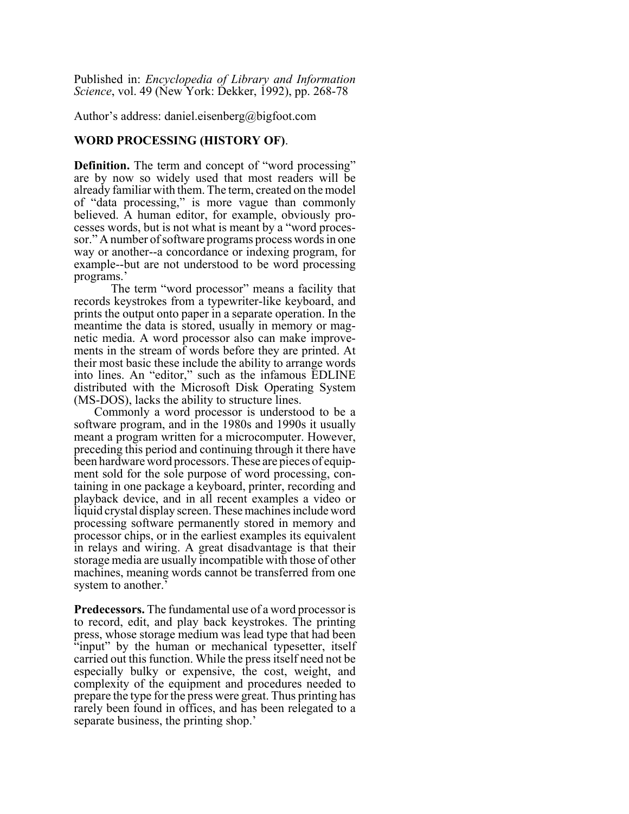Published in: *Encyclopedia of Library and Information Science*, vol. 49 (New York: Dekker, 1992), pp. 268-78

Author's address: daniel.eisenberg@bigfoot.com

## **WORD PROCESSING (HISTORY OF)**.

**Definition.** The term and concept of "word processing" are by now so widely used that most readers will be already familiar with them. The term, created on the model of "data processing," is more vague than commonly believed. A human editor, for example, obviously processes words, but is not what is meant by a "word processor." A number of software programs process words in one way or another--a concordance or indexing program, for example--but are not understood to be word processing programs.'

The term "word processor" means a facility that records keystrokes from a typewriter-like keyboard, and prints the output onto paper in a separate operation. In the meantime the data is stored, usually in memory or magnetic media. A word processor also can make improvements in the stream of words before they are printed. At their most basic these include the ability to arrange words into lines. An "editor," such as the infamous EDLINE distributed with the Microsoft Disk Operating System (MS-DOS), lacks the ability to structure lines.

Commonly a word processor is understood to be a software program, and in the 1980s and 1990s it usually meant a program written for a microcomputer. However, preceding this period and continuing through it there have been hardware word processors. These are pieces of equipment sold for the sole purpose of word processing, containing in one package a keyboard, printer, recording and playback device, and in all recent examples a video or liquid crystal display screen. These machines include word processing software permanently stored in memory and processor chips, or in the earliest examples its equivalent in relays and wiring. A great disadvantage is that their storage media are usually incompatible with those of other machines, meaning words cannot be transferred from one system to another.'

**Predecessors.** The fundamental use of a word processor is to record, edit, and play back keystrokes. The printing press, whose storage medium was lead type that had been "input" by the human or mechanical typesetter, itself carried out this function. While the press itself need not be especially bulky or expensive, the cost, weight, and complexity of the equipment and procedures needed to prepare the type for the press were great. Thus printing has rarely been found in offices, and has been relegated to a separate business, the printing shop.'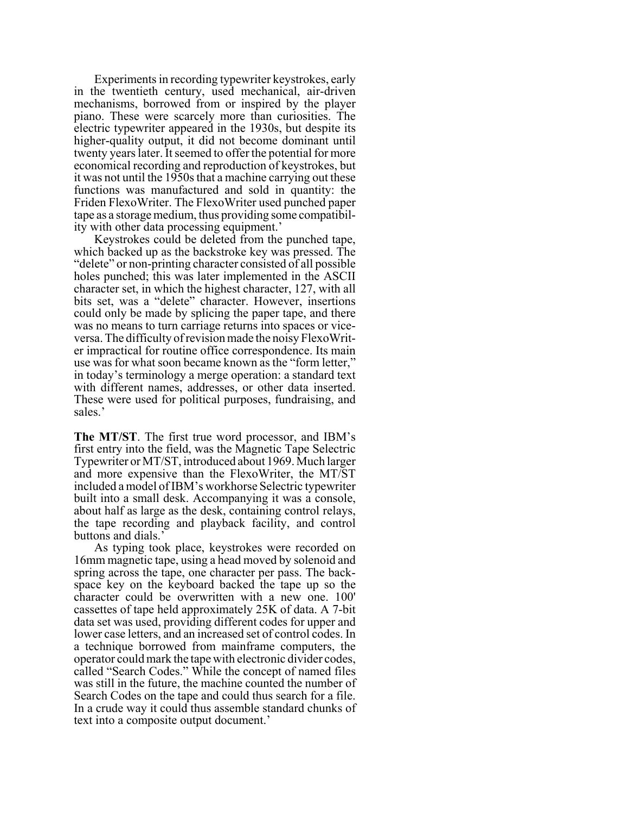Experiments in recording typewriter keystrokes, early in the twentieth century, used mechanical, air-driven mechanisms, borrowed from or inspired by the player piano. These were scarcely more than curiosities. The electric typewriter appeared in the 1930s, but despite its higher-quality output, it did not become dominant until twenty years later. It seemed to offer the potential for more economical recording and reproduction of keystrokes, but it was not until the 1950s that a machine carrying out these functions was manufactured and sold in quantity: the Friden FlexoWriter. The FlexoWriter used punched paper tape as a storage medium, thus providing some compatibility with other data processing equipment.'

Keystrokes could be deleted from the punched tape, which backed up as the backstroke key was pressed. The "delete" or non-printing character consisted of all possible holes punched; this was later implemented in the ASCII character set, in which the highest character, 127, with all bits set, was a "delete" character. However, insertions could only be made by splicing the paper tape, and there was no means to turn carriage returns into spaces or viceversa. The difficulty of revision made the noisy FlexoWriter impractical for routine office correspondence. Its main use was for what soon became known as the "form letter," in today's terminology a merge operation: a standard text with different names, addresses, or other data inserted. These were used for political purposes, fundraising, and sales.'

**The MT/ST**. The first true word processor, and IBM's first entry into the field, was the Magnetic Tape Selectric Typewriter or MT/ST, introduced about 1969. Much larger and more expensive than the FlexoWriter, the MT/ST included a model of IBM's workhorse Selectric typewriter built into a small desk. Accompanying it was a console, about half as large as the desk, containing control relays, the tape recording and playback facility, and control buttons and dials.'

As typing took place, keystrokes were recorded on 16mm magnetic tape, using a head moved by solenoid and spring across the tape, one character per pass. The backspace key on the keyboard backed the tape up so the character could be overwritten with a new one. 100' cassettes of tape held approximately 25K of data. A 7-bit data set was used, providing different codes for upper and lower case letters, and an increased set of control codes. In a technique borrowed from mainframe computers, the operator could mark the tape with electronic divider codes, called "Search Codes." While the concept of named files was still in the future, the machine counted the number of Search Codes on the tape and could thus search for a file. In a crude way it could thus assemble standard chunks of text into a composite output document.'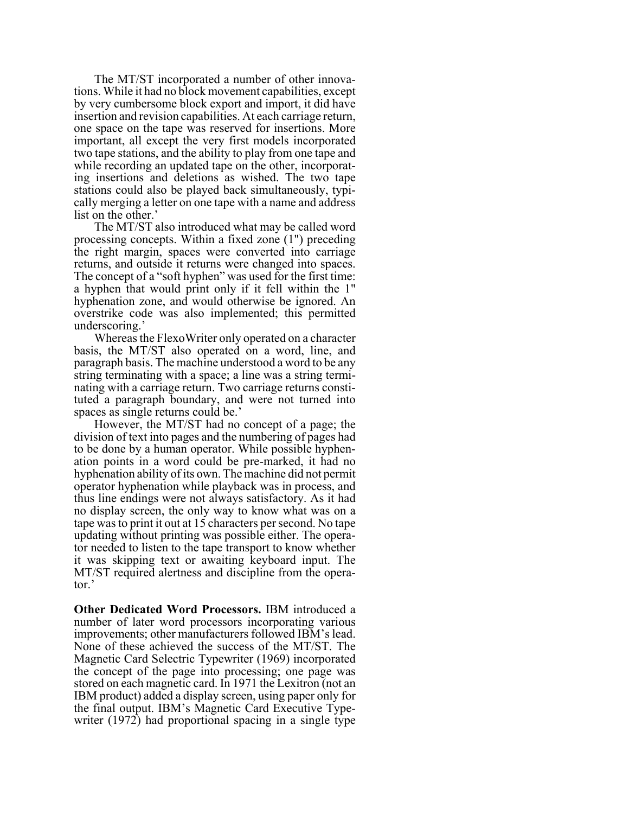The MT/ST incorporated a number of other innovations. While it had no block movement capabilities, except by very cumbersome block export and import, it did have insertion and revision capabilities. At each carriage return, one space on the tape was reserved for insertions. More important, all except the very first models incorporated two tape stations, and the ability to play from one tape and while recording an updated tape on the other, incorporating insertions and deletions as wished. The two tape stations could also be played back simultaneously, typically merging a letter on one tape with a name and address list on the other.'

The MT/ST also introduced what may be called word processing concepts. Within a fixed zone (1") preceding the right margin, spaces were converted into carriage returns, and outside it returns were changed into spaces. The concept of a "soft hyphen" was used for the first time: a hyphen that would print only if it fell within the 1" hyphenation zone, and would otherwise be ignored. An overstrike code was also implemented; this permitted underscoring.'

Whereas the FlexoWriter only operated on a character basis, the MT/ST also operated on a word, line, and paragraph basis. The machine understood a word to be any string terminating with a space; a line was a string terminating with a carriage return. Two carriage returns constituted a paragraph boundary, and were not turned into spaces as single returns could be.'

However, the MT/ST had no concept of a page; the division of text into pages and the numbering of pages had to be done by a human operator. While possible hyphenation points in a word could be pre-marked, it had no hyphenation ability of its own. The machine did not permit operator hyphenation while playback was in process, and thus line endings were not always satisfactory. As it had no display screen, the only way to know what was on a tape was to print it out at 15 characters per second. No tape updating without printing was possible either. The operator needed to listen to the tape transport to know whether it was skipping text or awaiting keyboard input. The MT/ST required alertness and discipline from the operator.'

**Other Dedicated Word Processors.** IBM introduced a number of later word processors incorporating various improvements; other manufacturers followed IBM's lead. None of these achieved the success of the MT/ST. The Magnetic Card Selectric Typewriter (1969) incorporated the concept of the page into processing; one page was stored on each magnetic card. In 1971 the Lexitron (not an IBM product) added a display screen, using paper only for the final output. IBM's Magnetic Card Executive Typewriter (1972) had proportional spacing in a single type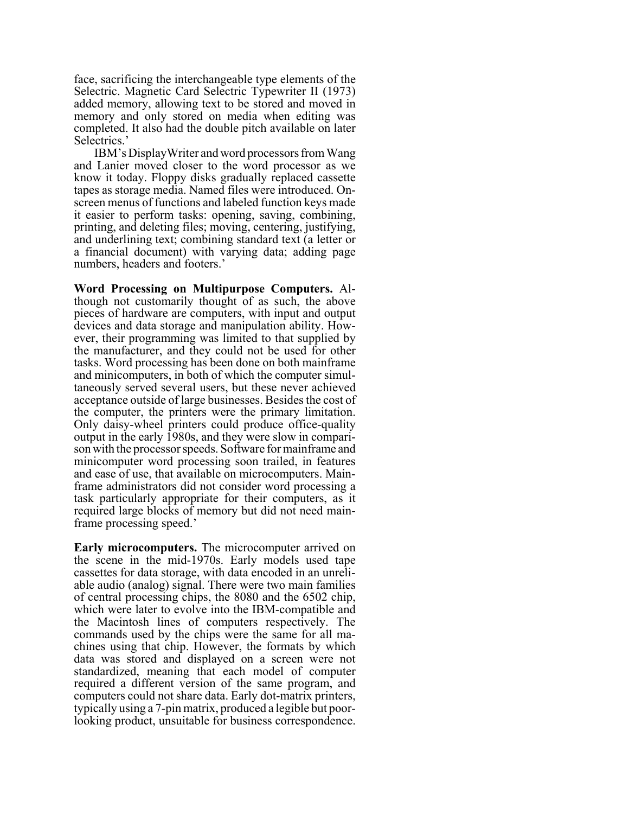face, sacrificing the interchangeable type elements of the Selectric. Magnetic Card Selectric Typewriter II (1973) added memory, allowing text to be stored and moved in memory and only stored on media when editing was completed. It also had the double pitch available on later Selectrics.'

IBM's DisplayWriter and word processors from Wang and Lanier moved closer to the word processor as we know it today. Floppy disks gradually replaced cassette tapes as storage media. Named files were introduced. Onscreen menus of functions and labeled function keys made it easier to perform tasks: opening, saving, combining, printing, and deleting files; moving, centering, justifying, and underlining text; combining standard text (a letter or a financial document) with varying data; adding page numbers, headers and footers.'

**Word Processing on Multipurpose Computers.** Although not customarily thought of as such, the above pieces of hardware are computers, with input and output devices and data storage and manipulation ability. However, their programming was limited to that supplied by the manufacturer, and they could not be used for other tasks. Word processing has been done on both mainframe and minicomputers, in both of which the computer simultaneously served several users, but these never achieved acceptance outside of large businesses. Besides the cost of the computer, the printers were the primary limitation. Only daisy-wheel printers could produce office-quality output in the early 1980s, and they were slow in comparison with the processor speeds. Software for mainframe and minicomputer word processing soon trailed, in features and ease of use, that available on microcomputers. Mainframe administrators did not consider word processing a task particularly appropriate for their computers, as it required large blocks of memory but did not need mainframe processing speed.'

**Early microcomputers.** The microcomputer arrived on the scene in the mid-1970s. Early models used tape cassettes for data storage, with data encoded in an unreliable audio (analog) signal. There were two main families of central processing chips, the 8080 and the 6502 chip, which were later to evolve into the IBM-compatible and the Macintosh lines of computers respectively. The commands used by the chips were the same for all machines using that chip. However, the formats by which data was stored and displayed on a screen were not standardized, meaning that each model of computer required a different version of the same program, and computers could not share data. Early dot-matrix printers, typically using a 7-pin matrix, produced a legible but poorlooking product, unsuitable for business correspondence.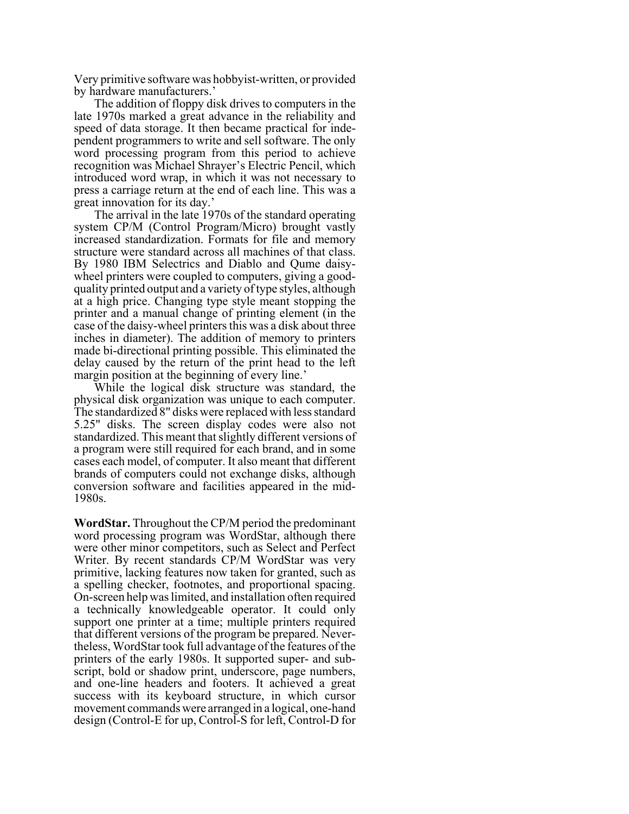Very primitive software was hobbyist-written, or provided by hardware manufacturers.'

The addition of floppy disk drives to computers in the late 1970s marked a great advance in the reliability and speed of data storage. It then became practical for independent programmers to write and sell software. The only word processing program from this period to achieve recognition was Michael Shrayer's Electric Pencil, which introduced word wrap, in which it was not necessary to press a carriage return at the end of each line. This was a great innovation for its day.'

The arrival in the late 1970s of the standard operating system CP/M (Control Program/Micro) brought vastly increased standardization. Formats for file and memory structure were standard across all machines of that class. By 1980 IBM Selectrics and Diablo and Qume daisywheel printers were coupled to computers, giving a goodquality printed output and a variety of type styles, although at a high price. Changing type style meant stopping the printer and a manual change of printing element (in the case of the daisy-wheel printers this was a disk about three inches in diameter). The addition of memory to printers made bi-directional printing possible. This eliminated the delay caused by the return of the print head to the left margin position at the beginning of every line.'

While the logical disk structure was standard, the physical disk organization was unique to each computer. The standardized 8" disks were replaced with less standard 5.25" disks. The screen display codes were also not standardized. This meant that slightly different versions of a program were still required for each brand, and in some cases each model, of computer. It also meant that different brands of computers could not exchange disks, although conversion software and facilities appeared in the mid-1980s.

**WordStar.** Throughout the CP/M period the predominant word processing program was WordStar, although there were other minor competitors, such as Select and Perfect Writer. By recent standards CP/M WordStar was very primitive, lacking features now taken for granted, such as a spelling checker, footnotes, and proportional spacing. On-screen help was limited, and installation often required a technically knowledgeable operator. It could only support one printer at a time; multiple printers required that different versions of the program be prepared. Nevertheless, WordStar took full advantage of the features of the printers of the early 1980s. It supported super- and subscript, bold or shadow print, underscore, page numbers, and one-line headers and footers. It achieved a great success with its keyboard structure, in which cursor movement commands were arranged in a logical, one-hand design (Control-E for up, Control-S for left, Control-D for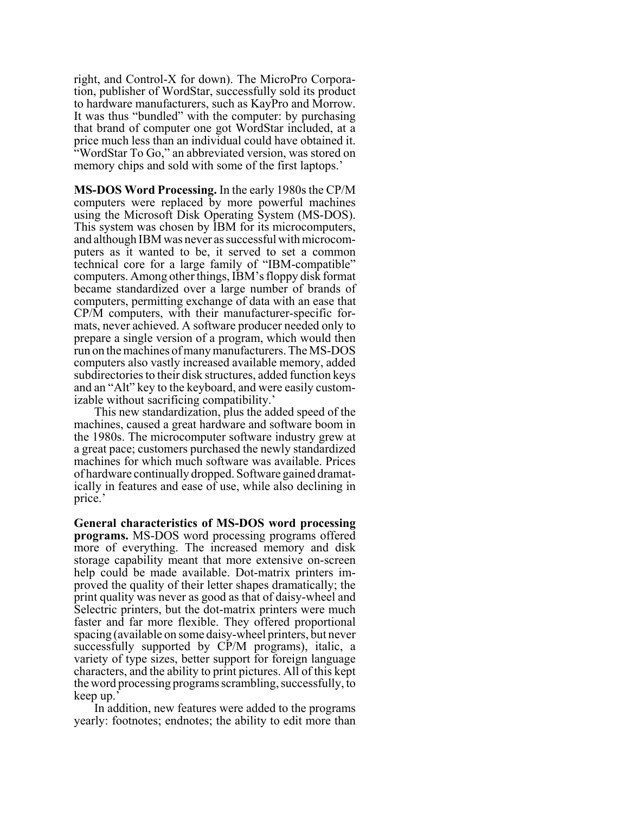right, and Control-X for down). The MicroPro Corporation, publisher of WordStar, successfully sold its product to hardware manufacturers, such as KayPro and Morrow. It was thus "bundled" with the computer: by purchasing that brand of computer one got WordStar included, at a price much less than an individual could have obtained it. "WordStar To Go," an abbreviated version, was stored on memory chips and sold with some of the first laptops.'

**MS-DOS Word Processing.** In the early 1980s the CP/M computers were replaced by more powerful machines using the Microsoft Disk Operating System (MS-DOS). This system was chosen by IBM for its microcomputers, and although IBM was never as successful with microcomputers as it wanted to be, it served to set a common technical core for a large family of "IBM-compatible" computers. Among other things, IBM's floppy disk format became standardized over a large number of brands of computers, permitting exchange of data with an ease that CP/M computers, with their manufacturer-specific formats, never achieved. A software producer needed only to prepare a single version of a program, which would then run on the machines of many manufacturers. The MS-DOS computers also vastly increased available memory, added subdirectories to their disk structures, added function keys and an "Alt" key to the keyboard, and were easily customizable without sacrificing compatibility.'

This new standardization, plus the added speed of the machines, caused a great hardware and software boom in the 1980s. The microcomputer software industry grew at a great pace; customers purchased the newly standardized machines for which much software was available. Prices of hardware continually dropped. Software gained dramatically in features and ease of use, while also declining in price.'

**General characteristics of MS-DOS word processing programs.** MS-DOS word processing programs offered more of everything. The increased memory and disk storage capability meant that more extensive on-screen help could be made available. Dot-matrix printers improved the quality of their letter shapes dramatically; the print quality was never as good as that of daisy-wheel and Selectric printers, but the dot-matrix printers were much faster and far more flexible. They offered proportional spacing (available on some daisy-wheel printers, but never successfully supported by CP/M programs), italic, a variety of type sizes, better support for foreign language characters, and the ability to print pictures. All of this kept the word processing programs scrambling, successfully, to keep up.'

In addition, new features were added to the programs yearly: footnotes; endnotes; the ability to edit more than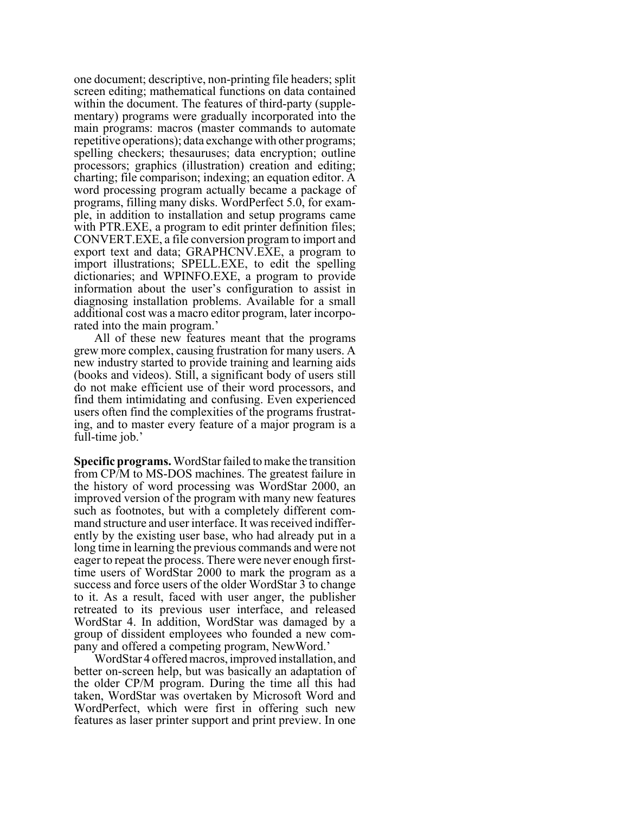one document; descriptive, non-printing file headers; split screen editing; mathematical functions on data contained within the document. The features of third-party (supplementary) programs were gradually incorporated into the main programs: macros (master commands to automate repetitive operations); data exchange with other programs; spelling checkers; thesauruses; data encryption; outline processors; graphics (illustration) creation and editing; charting; file comparison; indexing; an equation editor. A word processing program actually became a package of programs, filling many disks. WordPerfect 5.0, for example, in addition to installation and setup programs came with PTR.EXE, a program to edit printer definition files; CONVERT.EXE, a file conversion program to import and export text and data; GRAPHCNV.EXE, a program to import illustrations; SPELL.EXE, to edit the spelling dictionaries; and WPINFO.EXE, a program to provide information about the user's configuration to assist in diagnosing installation problems. Available for a small additional cost was a macro editor program, later incorporated into the main program.'

All of these new features meant that the programs grew more complex, causing frustration for many users. A new industry started to provide training and learning aids (books and videos). Still, a significant body of users still do not make efficient use of their word processors, and find them intimidating and confusing. Even experienced users often find the complexities of the programs frustrating, and to master every feature of a major program is a full-time job.'

**Specific programs.** WordStar failed to make the transition from CP/M to MS-DOS machines. The greatest failure in the history of word processing was WordStar 2000, an improved version of the program with many new features such as footnotes, but with a completely different command structure and user interface. It was received indifferently by the existing user base, who had already put in a long time in learning the previous commands and were not eager to repeat the process. There were never enough firsttime users of WordStar 2000 to mark the program as a success and force users of the older WordStar 3 to change to it. As a result, faced with user anger, the publisher retreated to its previous user interface, and released WordStar 4. In addition, WordStar was damaged by a group of dissident employees who founded a new company and offered a competing program, NewWord.'

WordStar 4 offered macros, improved installation, and better on-screen help, but was basically an adaptation of the older CP/M program. During the time all this had taken, WordStar was overtaken by Microsoft Word and WordPerfect, which were first in offering such new features as laser printer support and print preview. In one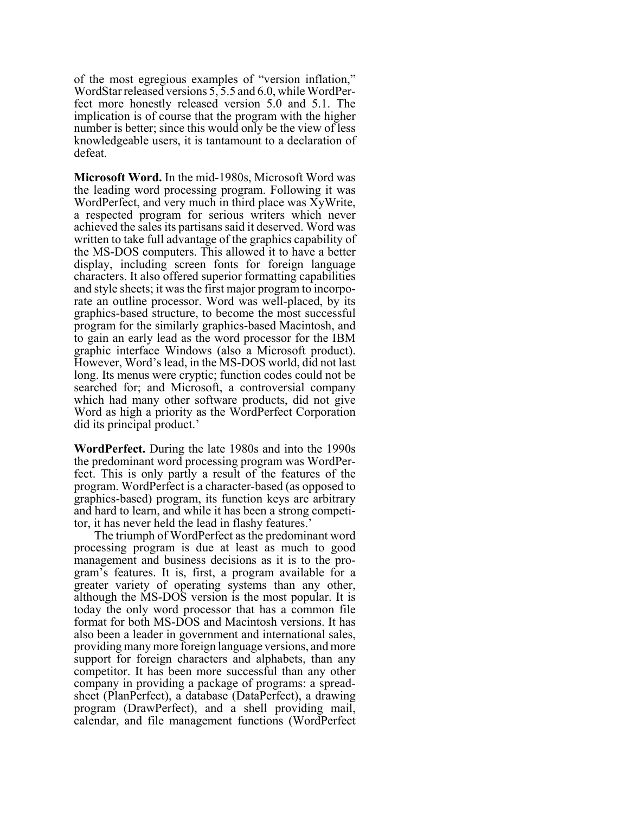of the most egregious examples of "version inflation," WordStar released versions 5, 5.5 and 6.0, while WordPerfect more honestly released version 5.0 and 5.1. The implication is of course that the program with the higher number is better; since this would only be the view of less knowledgeable users, it is tantamount to a declaration of defeat.

**Microsoft Word.** In the mid-1980s, Microsoft Word was the leading word processing program. Following it was WordPerfect, and very much in third place was XyWrite, a respected program for serious writers which never achieved the sales its partisans said it deserved. Word was written to take full advantage of the graphics capability of the MS-DOS computers. This allowed it to have a better display, including screen fonts for foreign language characters. It also offered superior formatting capabilities and style sheets; it was the first major program to incorporate an outline processor. Word was well-placed, by its graphics-based structure, to become the most successful program for the similarly graphics-based Macintosh, and to gain an early lead as the word processor for the IBM graphic interface Windows (also a Microsoft product). However, Word's lead, in the MS-DOS world, did not last long. Its menus were cryptic; function codes could not be searched for; and Microsoft, a controversial company which had many other software products, did not give Word as high a priority as the WordPerfect Corporation did its principal product.'

**WordPerfect.** During the late 1980s and into the 1990s the predominant word processing program was WordPerfect. This is only partly a result of the features of the program. WordPerfect is a character-based (as opposed to graphics-based) program, its function keys are arbitrary and hard to learn, and while it has been a strong competitor, it has never held the lead in flashy features.'

The triumph of WordPerfect as the predominant word processing program is due at least as much to good management and business decisions as it is to the program's features. It is, first, a program available for a greater variety of operating systems than any other, although the MS-DOS version is the most popular. It is today the only word processor that has a common file format for both MS-DOS and Macintosh versions. It has also been a leader in government and international sales, providing many more foreign language versions, and more support for foreign characters and alphabets, than any competitor. It has been more successful than any other company in providing a package of programs: a spreadsheet (PlanPerfect), a database (DataPerfect), a drawing program (DrawPerfect), and a shell providing mail, calendar, and file management functions (WordPerfect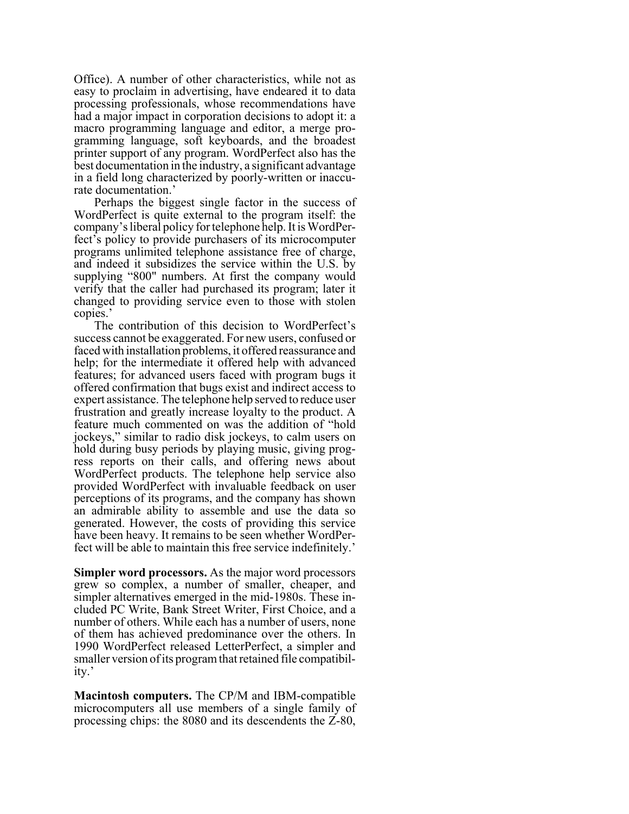Office). A number of other characteristics, while not as easy to proclaim in advertising, have endeared it to data processing professionals, whose recommendations have had a major impact in corporation decisions to adopt it: a macro programming language and editor, a merge programming language, soft keyboards, and the broadest printer support of any program. WordPerfect also has the best documentation in the industry, a significant advantage in a field long characterized by poorly-written or inaccurate documentation.'

Perhaps the biggest single factor in the success of WordPerfect is quite external to the program itself: the company's liberal policy for telephone help. It is WordPerfect's policy to provide purchasers of its microcomputer programs unlimited telephone assistance free of charge, and indeed it subsidizes the service within the U.S. by supplying "800" numbers. At first the company would verify that the caller had purchased its program; later it changed to providing service even to those with stolen copies.'

The contribution of this decision to WordPerfect's success cannot be exaggerated. For new users, confused or faced with installation problems, it offered reassurance and help; for the intermediate it offered help with advanced features; for advanced users faced with program bugs it offered confirmation that bugs exist and indirect access to expert assistance. The telephone help served to reduce user frustration and greatly increase loyalty to the product. A feature much commented on was the addition of "hold jockeys," similar to radio disk jockeys, to calm users on hold during busy periods by playing music, giving progress reports on their calls, and offering news about WordPerfect products. The telephone help service also provided WordPerfect with invaluable feedback on user perceptions of its programs, and the company has shown an admirable ability to assemble and use the data so generated. However, the costs of providing this service have been heavy. It remains to be seen whether WordPerfect will be able to maintain this free service indefinitely.'

**Simpler word processors.** As the major word processors grew so complex, a number of smaller, cheaper, and simpler alternatives emerged in the mid-1980s. These included PC Write, Bank Street Writer, First Choice, and a number of others. While each has a number of users, none of them has achieved predominance over the others. In 1990 WordPerfect released LetterPerfect, a simpler and smaller version of its program that retained file compatibility.'

**Macintosh computers.** The CP/M and IBM-compatible microcomputers all use members of a single family of processing chips: the 8080 and its descendents the Z-80,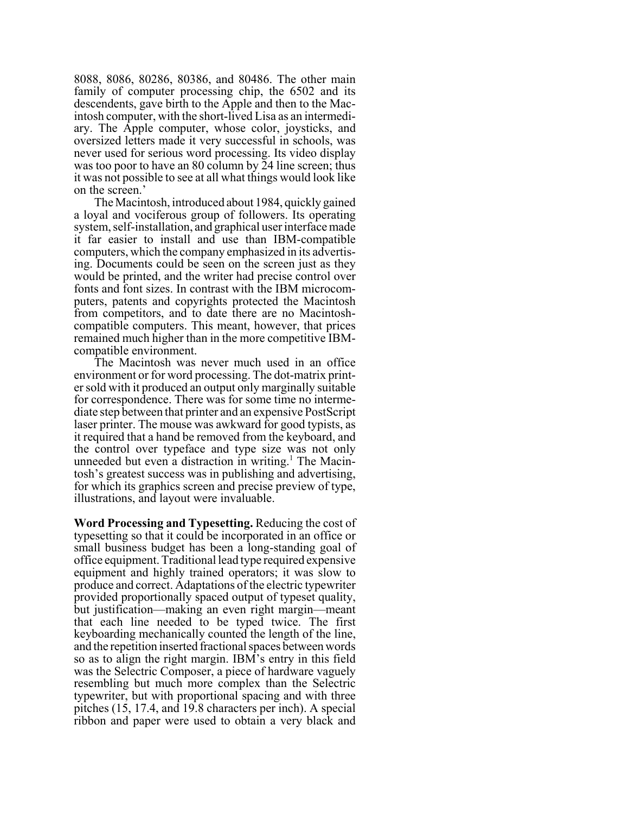8088, 8086, 80286, 80386, and 80486. The other main family of computer processing chip, the 6502 and its descendents, gave birth to the Apple and then to the Macintosh computer, with the short-lived Lisa as an intermediary. The Apple computer, whose color, joysticks, and oversized letters made it very successful in schools, was never used for serious word processing. Its video display was too poor to have an 80 column by 24 line screen; thus it was not possible to see at all what things would look like on the screen.'

The Macintosh, introduced about 1984, quickly gained a loyal and vociferous group of followers. Its operating system, self-installation, and graphical user interface made it far easier to install and use than IBM-compatible computers, which the company emphasized in its advertising. Documents could be seen on the screen just as they would be printed, and the writer had precise control over fonts and font sizes. In contrast with the IBM microcomputers, patents and copyrights protected the Macintosh from competitors, and to date there are no Macintoshcompatible computers. This meant, however, that prices remained much higher than in the more competitive IBMcompatible environment.

The Macintosh was never much used in an office environment or for word processing. The dot-matrix printer sold with it produced an output only marginally suitable for correspondence. There was for some time no intermediate step between that printer and an expensive PostScript laser printer. The mouse was awkward for good typists, as it required that a hand be removed from the keyboard, and the control over typeface and type size was not only unneeded but even a distraction in writing.<sup>1</sup> The Macintosh's greatest success was in publishing and advertising, for which its graphics screen and precise preview of type, illustrations, and layout were invaluable.

**Word Processing and Typesetting.** Reducing the cost of typesetting so that it could be incorporated in an office or small business budget has been a long-standing goal of office equipment. Traditional lead type required expensive equipment and highly trained operators; it was slow to produce and correct. Adaptations of the electric typewriter provided proportionally spaced output of typeset quality, but justification—making an even right margin—meant that each line needed to be typed twice. The first keyboarding mechanically counted the length of the line, and the repetition inserted fractional spaces between words so as to align the right margin. IBM's entry in this field was the Selectric Composer, a piece of hardware vaguely resembling but much more complex than the Selectric typewriter, but with proportional spacing and with three pitches (15, 17.4, and 19.8 characters per inch). A special ribbon and paper were used to obtain a very black and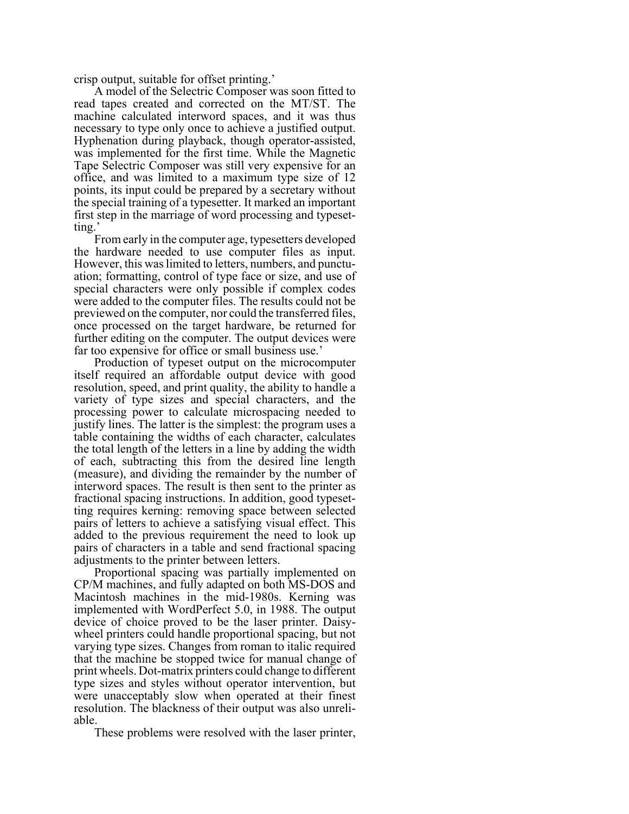crisp output, suitable for offset printing.'

A model of the Selectric Composer was soon fitted to read tapes created and corrected on the MT/ST. The machine calculated interword spaces, and it was thus necessary to type only once to achieve a justified output. Hyphenation during playback, though operator-assisted, was implemented for the first time. While the Magnetic Tape Selectric Composer was still very expensive for an office, and was limited to a maximum type size of 12 points, its input could be prepared by a secretary without the special training of a typesetter. It marked an important first step in the marriage of word processing and typesetting.'

From early in the computer age, typesetters developed the hardware needed to use computer files as input. However, this was limited to letters, numbers, and punctuation; formatting, control of type face or size, and use of special characters were only possible if complex codes were added to the computer files. The results could not be previewed on the computer, nor could the transferred files, once processed on the target hardware, be returned for further editing on the computer. The output devices were far too expensive for office or small business use.'

Production of typeset output on the microcomputer itself required an affordable output device with good resolution, speed, and print quality, the ability to handle a variety of type sizes and special characters, and the processing power to calculate microspacing needed to justify lines. The latter is the simplest: the program uses a table containing the widths of each character, calculates the total length of the letters in a line by adding the width of each, subtracting this from the desired line length (measure), and dividing the remainder by the number of interword spaces. The result is then sent to the printer as fractional spacing instructions. In addition, good typesetting requires kerning: removing space between selected pairs of letters to achieve a satisfying visual effect. This added to the previous requirement the need to look up pairs of characters in a table and send fractional spacing adjustments to the printer between letters.

Proportional spacing was partially implemented on CP/M machines, and fully adapted on both MS-DOS and Macintosh machines in the mid-1980s. Kerning was implemented with WordPerfect 5.0, in 1988. The output device of choice proved to be the laser printer. Daisywheel printers could handle proportional spacing, but not varying type sizes. Changes from roman to italic required that the machine be stopped twice for manual change of print wheels. Dot-matrix printers could change to different type sizes and styles without operator intervention, but were unacceptably slow when operated at their finest resolution. The blackness of their output was also unreliable.

These problems were resolved with the laser printer,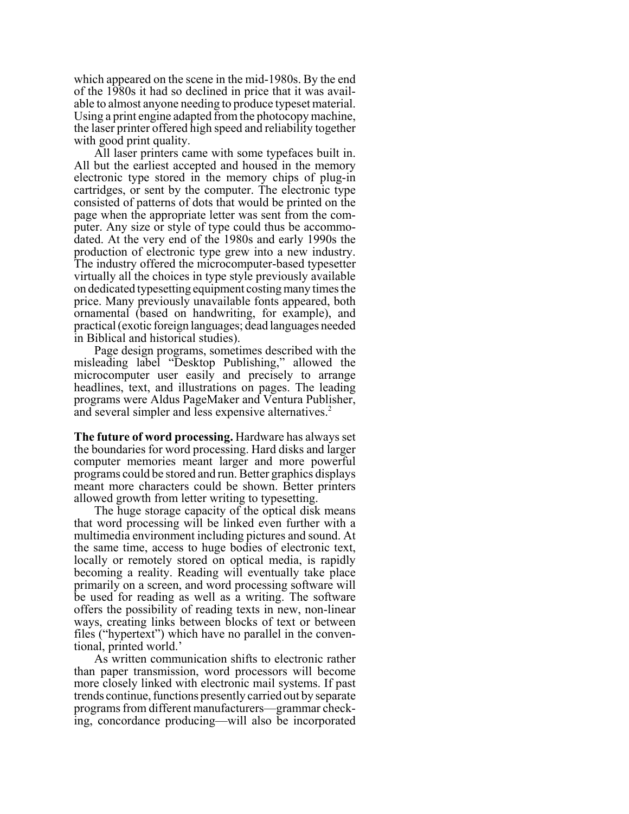which appeared on the scene in the mid-1980s. By the end of the 1980s it had so declined in price that it was available to almost anyone needing to produce typeset material. Using a print engine adapted from the photocopy machine, the laser printer offered high speed and reliability together with good print quality.

All laser printers came with some typefaces built in. All but the earliest accepted and housed in the memory electronic type stored in the memory chips of plug-in cartridges, or sent by the computer. The electronic type consisted of patterns of dots that would be printed on the page when the appropriate letter was sent from the computer. Any size or style of type could thus be accommodated. At the very end of the 1980s and early 1990s the production of electronic type grew into a new industry. The industry offered the microcomputer-based typesetter virtually all the choices in type style previously available on dedicated typesetting equipment costing many times the price. Many previously unavailable fonts appeared, both ornamental (based on handwriting, for example), and practical (exotic foreign languages; dead languages needed in Biblical and historical studies).

Page design programs, sometimes described with the misleading label "Desktop Publishing," allowed the microcomputer user easily and precisely to arrange headlines, text, and illustrations on pages. The leading programs were Aldus PageMaker and Ventura Publisher, and several simpler and less expensive alternatives.<sup>2</sup>

**The future of word processing.** Hardware has always set the boundaries for word processing. Hard disks and larger computer memories meant larger and more powerful programs could be stored and run. Better graphics displays meant more characters could be shown. Better printers allowed growth from letter writing to typesetting.

The huge storage capacity of the optical disk means that word processing will be linked even further with a multimedia environment including pictures and sound. At the same time, access to huge bodies of electronic text, locally or remotely stored on optical media, is rapidly becoming a reality. Reading will eventually take place primarily on a screen, and word processing software will be used for reading as well as a writing. The software offers the possibility of reading texts in new, non-linear ways, creating links between blocks of text or between files ("hypertext") which have no parallel in the conventional, printed world.'

As written communication shifts to electronic rather than paper transmission, word processors will become more closely linked with electronic mail systems. If past trends continue, functions presently carried out by separate programs from different manufacturers—grammar checking, concordance producing—will also be incorporated